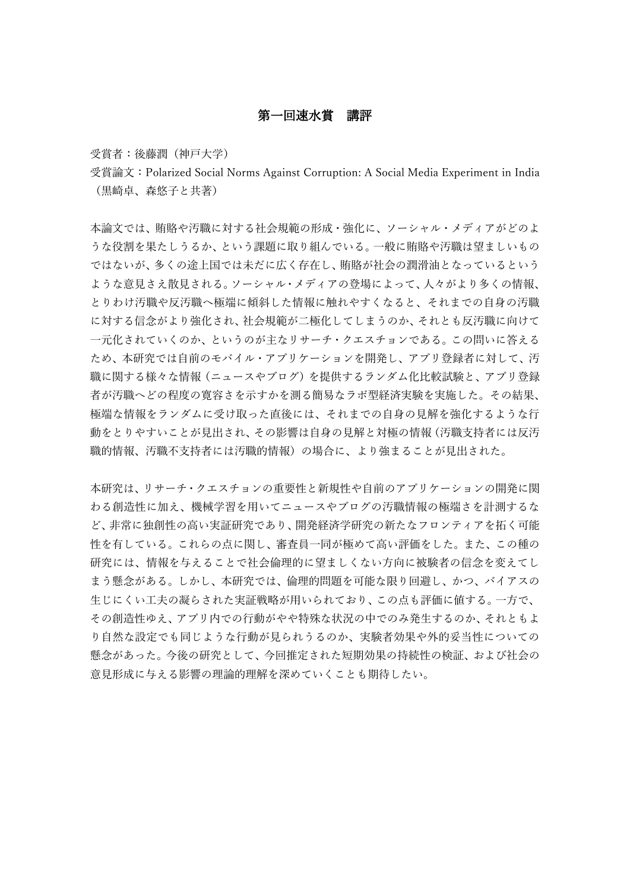## 第一回速水賞 講評

受賞者:後藤潤(神戸大学)

受賞論文:Polarized Social Norms Against Corruption: A Social Media Experiment in India (黒崎卓、森悠子と共著)

本論文では、賄賂や汚職に対する社会規範の形成・強化に、ソーシャル・メディアがどのよ うな役割を果たしうるか、という課題に取り組んでいる。一般に賄賂や汚職は望ましいもの ではないが、多くの途上国では未だに広く存在し、賄賂が社会の潤滑油となっているという ような意見さえ散見される。ソーシャル・メディアの登場によって、人々がより多くの情報、 とりわけ汚職や反汚職へ極端に傾斜した情報に触れやすくなると、それまでの自身の汚職 に対する信念がより強化され、社会規範が二極化してしまうのか、それとも反汚職に向けて 一元化されていくのか、というのが主なリサーチ・クエスチョンである。この問いに答える ため、本研究では自前のモバイル・アプリケーションを開発し、アプリ登録者に対して、汚 職に関する様々な情報(ニュースやブログ)を提供するランダム化比較試験と、アプリ登録 者が汚職へどの程度の寛容さを示すかを測る簡易なラボ型経済実験を実施した。その結果、 極端な情報をランダムに受け取った直後には、それまでの自身の見解を強化するような行 動をとりやすいことが見出され、その影響は自身の見解と対極の情報(汚職支持者には反汚 職的情報、汚職不支持者には汚職的情報)の場合に、より強まることが見出された。

本研究は、リサーチ・クエスチョンの重要性と新規性や自前のアプリケーションの開発に関 わる創造性に加え、機械学習を用いてニュースやブログの汚職情報の極端さを計測するな ど、非常に独創性の高い実証研究であり、開発経済学研究の新たなフロンティアを拓く可能 性を有している。これらの点に関し、審査員一同が極めて高い評価をした。また、この種の 研究には、情報を与えることで社会倫理的に望ましくない方向に被験者の信念を変えてし まう懸念がある。しかし、本研究では、倫理的問題を可能な限り回避し、かつ、バイアスの 生じにくい工夫の凝らされた実証戦略が用いられており、この点も評価に値する。一方で、 その創造性ゆえ、アプリ内での行動がやや特殊な状況の中でのみ発生するのか、それともよ り自然な設定でも同じような行動が見られうるのか、実験者効果や外的妥当性についての 懸念があった。今後の研究として、今回推定された短期効果の持続性の検証、および社会の 意見形成に与える影響の理論的理解を深めていくことも期待したい。